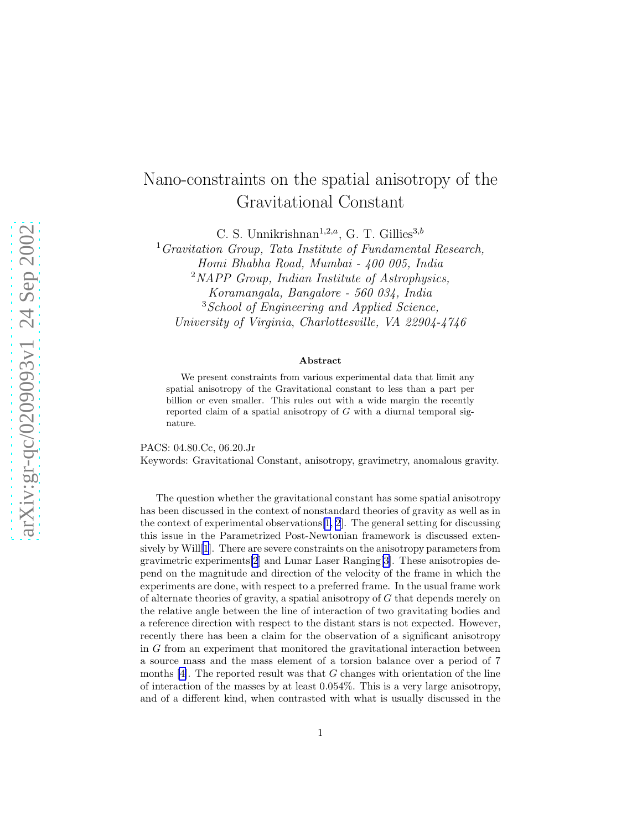## Nano-constraints on the spatial anisotropy of the Gravitational Constant

C. S. Unnikrishnan<sup>1,2,a</sup>, G. T. Gillies<sup>3,b</sup>

 ${}^{1}$ Gravitation Group, Tata Institute of Fundamental Research, Homi Bhabha Road, Mumbai - 400 005, India <sup>2</sup>NAPP Group, Indian Institute of Astrophysics, Koramangala, Bangalore - 560 034, India <sup>3</sup>School of Engineering and Applied Science, University of Virginia, Charlottesville, VA 22904-4746

## Abstract

We present constraints from various experimental data that limit any spatial anisotropy of the Gravitational constant to less than a part per billion or even smaller. This rules out with a wide margin the recently reported claim of a spatial anisotropy of  $G$  with a diurnal temporal signature.

PACS: 04.80.Cc, 06.20.Jr Keywords: Gravitational Constant, anisotropy, gravimetry, anomalous gravity.

The question whether the gravitational constant has some spatial anisotropy has been discussed in the context of nonstandard theories of gravity as well as in the context of experimental observations  $[1, 2]$  $[1, 2]$ . The general setting for discussing this issue in the Parametrized Post-Newtonian framework is discussed extensively by Will[\[1](#page-5-0)]. There are severe constraints on the anisotropy parameters from gravimetric experiments[\[2](#page-5-0)] and Lunar Laser Ranging[\[3](#page-5-0)]. These anisotropies depend on the magnitude and direction of the velocity of the frame in which the experiments are done, with respect to a preferred frame. In the usual frame work of alternate theories of gravity, a spatial anisotropy of G that depends merely on the relative angle between the line of interaction of two gravitating bodies and a reference direction with respect to the distant stars is not expected. However, recently there has been a claim for the observation of a significant anisotropy in G from an experiment that monitored the gravitational interaction between a source mass and the mass element of a torsion balance over a period of 7 months  $[4]$ . The reported result was that G changes with orientation of the line of interaction of the masses by at least 0.054%. This is a very large anisotropy, and of a different kind, when contrasted with what is usually discussed in the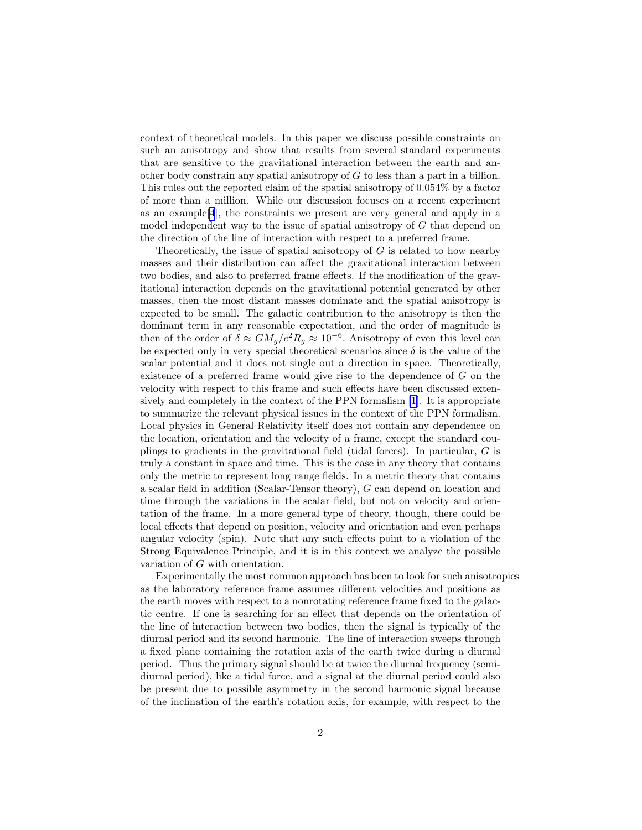context of theoretical models. In this paper we discuss possible constraints on such an anisotropy and show that results from several standard experiments that are sensitive to the gravitational interaction between the earth and another body constrain any spatial anisotropy of G to less than a part in a billion. This rules out the reported claim of the spatial anisotropy of 0.054% by a factor of more than a million. While our discussion focuses on a recent experiment as an example[\[4](#page-5-0)], the constraints we present are very general and apply in a model independent way to the issue of spatial anisotropy of G that depend on the direction of the line of interaction with respect to a preferred frame.

Theoretically, the issue of spatial anisotropy of  $G$  is related to how nearby masses and their distribution can affect the gravitational interaction between two bodies, and also to preferred frame effects. If the modification of the gravitational interaction depends on the gravitational potential generated by other masses, then the most distant masses dominate and the spatial anisotropy is expected to be small. The galactic contribution to the anisotropy is then the dominant term in any reasonable expectation, and the order of magnitude is then of the order of  $\delta \approx GM_g/c^2 R_g \approx 10^{-6}$ . Anisotropy of even this level can be expected only in very special theoretical scenarios since  $\delta$  is the value of the scalar potential and it does not single out a direction in space. Theoretically, existence of a preferred frame would give rise to the dependence of G on the velocity with respect to this frame and such effects have been discussed extensively and completely in the context of the PPN formalism [\[1](#page-5-0)]. It is appropriate to summarize the relevant physical issues in the context of the PPN formalism. Local physics in General Relativity itself does not contain any dependence on the location, orientation and the velocity of a frame, except the standard couplings to gradients in the gravitational field (tidal forces). In particular, G is truly a constant in space and time. This is the case in any theory that contains only the metric to represent long range fields. In a metric theory that contains a scalar field in addition (Scalar-Tensor theory), G can depend on location and time through the variations in the scalar field, but not on velocity and orientation of the frame. In a more general type of theory, though, there could be local effects that depend on position, velocity and orientation and even perhaps angular velocity (spin). Note that any such effects point to a violation of the Strong Equivalence Principle, and it is in this context we analyze the possible variation of G with orientation.

Experimentally the most common approach has been to look for such anisotropies as the laboratory reference frame assumes different velocities and positions as the earth moves with respect to a nonrotating reference frame fixed to the galactic centre. If one is searching for an effect that depends on the orientation of the line of interaction between two bodies, then the signal is typically of the diurnal period and its second harmonic. The line of interaction sweeps through a fixed plane containing the rotation axis of the earth twice during a diurnal period. Thus the primary signal should be at twice the diurnal frequency (semidiurnal period), like a tidal force, and a signal at the diurnal period could also be present due to possible asymmetry in the second harmonic signal because of the inclination of the earth's rotation axis, for example, with respect to the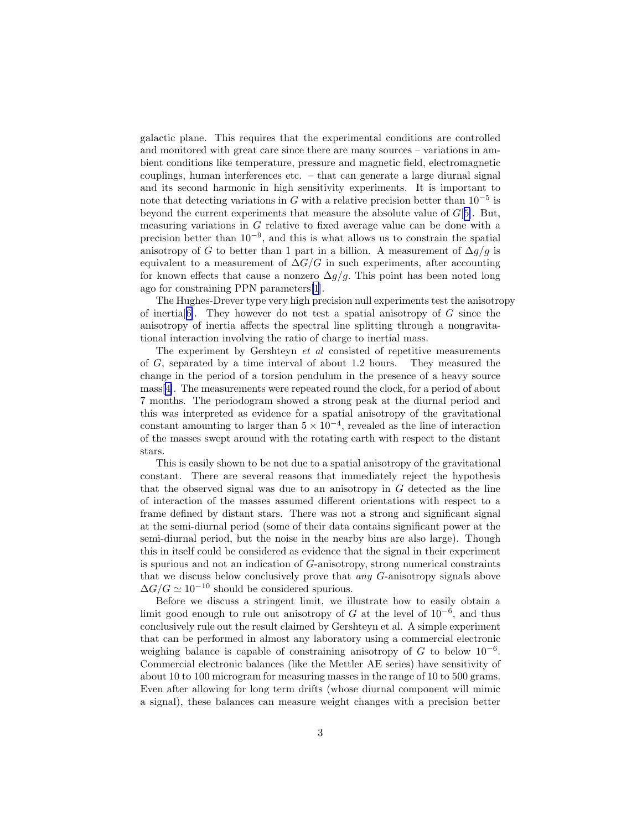galactic plane. This requires that the experimental conditions are controlled and monitored with great care since there are many sources – variations in ambient conditions like temperature, pressure and magnetic field, electromagnetic couplings, human interferences etc. – that can generate a large diurnal signal and its second harmonic in high sensitivity experiments. It is important to note that detecting variations in G with a relative precision better than  $10^{-5}$  is beyond the current experiments that measure the absolute value of  $G[5]$  $G[5]$ . But, measuring variations in G relative to fixed average value can be done with a precision better than 10−<sup>9</sup> , and this is what allows us to constrain the spatial anisotropy of G to better than 1 part in a billion. A measurement of  $\Delta g/g$  is equivalent to a measurement of  $\Delta G/G$  in such experiments, after accounting for known effects that cause a nonzero  $\Delta g/g$ . This point has been noted long ago for constraining PPN parameters[\[1](#page-5-0)].

The Hughes-Drever type very high precision null experiments test the anisotropy of inertia<sup>[[6\]](#page-5-0)</sup>. They however do not test a spatial anisotropy of  $G$  since the anisotropy of inertia affects the spectral line splitting through a nongravitational interaction involving the ratio of charge to inertial mass.

The experiment by Gershteyn *et al* consisted of repetitive measurements of G, separated by a time interval of about 1.2 hours. They measured the change in the period of a torsion pendulum in the presence of a heavy source mass[[4\]](#page-5-0). The measurements were repeated round the clock, for a period of about 7 months. The periodogram showed a strong peak at the diurnal period and this was interpreted as evidence for a spatial anisotropy of the gravitational constant amounting to larger than  $5 \times 10^{-4}$ , revealed as the line of interaction of the masses swept around with the rotating earth with respect to the distant stars.

This is easily shown to be not due to a spatial anisotropy of the gravitational constant. There are several reasons that immediately reject the hypothesis that the observed signal was due to an anisotropy in  $G$  detected as the line of interaction of the masses assumed different orientations with respect to a frame defined by distant stars. There was not a strong and significant signal at the semi-diurnal period (some of their data contains significant power at the semi-diurnal period, but the noise in the nearby bins are also large). Though this in itself could be considered as evidence that the signal in their experiment is spurious and not an indication of G-anisotropy, strong numerical constraints that we discuss below conclusively prove that any G-anisotropy signals above  $\Delta G/G \simeq 10^{-10}$  should be considered spurious.

Before we discuss a stringent limit, we illustrate how to easily obtain a limit good enough to rule out anisotropy of G at the level of  $10^{-6}$ , and thus conclusively rule out the result claimed by Gershteyn et al. A simple experiment that can be performed in almost any laboratory using a commercial electronic weighing balance is capable of constraining anisotropy of G to below  $10^{-6}$ . Commercial electronic balances (like the Mettler AE series) have sensitivity of about 10 to 100 microgram for measuring masses in the range of 10 to 500 grams. Even after allowing for long term drifts (whose diurnal component will mimic a signal), these balances can measure weight changes with a precision better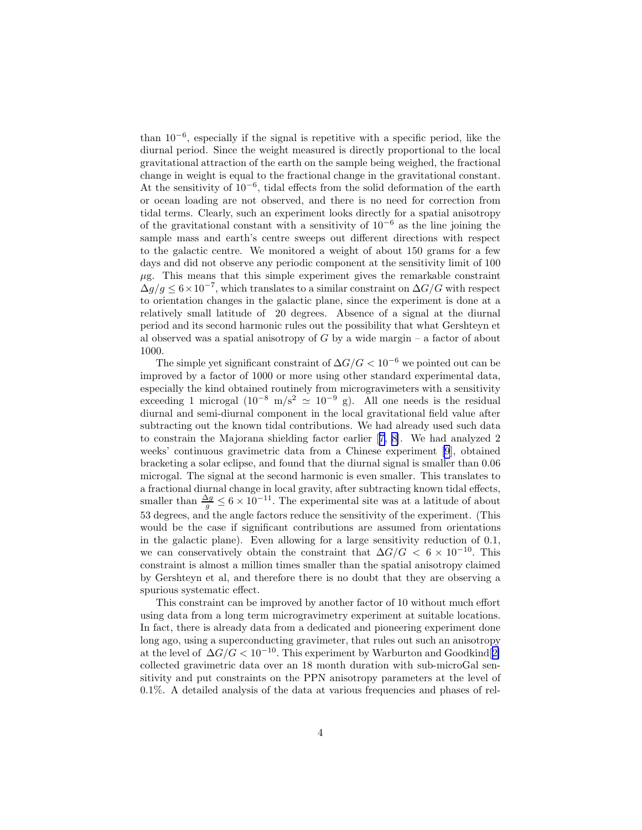than 10−<sup>6</sup> , especially if the signal is repetitive with a specific period, like the diurnal period. Since the weight measured is directly proportional to the local gravitational attraction of the earth on the sample being weighed, the fractional change in weight is equal to the fractional change in the gravitational constant. At the sensitivity of 10−<sup>6</sup> , tidal effects from the solid deformation of the earth or ocean loading are not observed, and there is no need for correction from tidal terms. Clearly, such an experiment looks directly for a spatial anisotropy of the gravitational constant with a sensitivity of  $10^{-6}$  as the line joining the sample mass and earth's centre sweeps out different directions with respect to the galactic centre. We monitored a weight of about 150 grams for a few days and did not observe any periodic component at the sensitivity limit of 100  $\mu$ g. This means that this simple experiment gives the remarkable constraint  $\Delta g/g \leq 6 \times 10^{-7}$ , which translates to a similar constraint on  $\Delta G/G$  with respect to orientation changes in the galactic plane, since the experiment is done at a relatively small latitude of 20 degrees. Absence of a signal at the diurnal period and its second harmonic rules out the possibility that what Gershteyn et al observed was a spatial anisotropy of  $G$  by a wide margin – a factor of about 1000.

The simple yet significant constraint of  $\Delta G/G < 10^{-6}$  we pointed out can be improved by a factor of 1000 or more using other standard experimental data, especially the kind obtained routinely from microgravimeters with a sensitivity exceeding 1 microgal (10<sup>-8</sup> m/s<sup>2</sup>  $\simeq$  10<sup>-9</sup> g). All one needs is the residual diurnal and semi-diurnal component in the local gravitational field value after subtracting out the known tidal contributions. We had already used such data to constrain the Majorana shielding factor earlier[[7, 8\]](#page-5-0). We had analyzed 2 weeks' continuous gravimetric data from a Chinese experiment [\[9](#page-5-0)], obtained bracketing a solar eclipse, and found that the diurnal signal is smaller than 0.06 microgal. The signal at the second harmonic is even smaller. This translates to a fractional diurnal change in local gravity, after subtracting known tidal effects, smaller than  $\frac{\Delta g}{g} \leq 6 \times 10^{-11}$ . The experimental site was at a latitude of about 53 degrees, and the angle factors reduce the sensitivity of the experiment. (This would be the case if significant contributions are assumed from orientations in the galactic plane). Even allowing for a large sensitivity reduction of 0.1, we can conservatively obtain the constraint that  $\Delta G/G < 6 \times 10^{-10}$ . This constraint is almost a million times smaller than the spatial anisotropy claimed by Gershteyn et al, and therefore there is no doubt that they are observing a spurious systematic effect.

This constraint can be improved by another factor of 10 without much effort using data from a long term microgravimetry experiment at suitable locations. In fact, there is already data from a dedicated and pioneering experiment done long ago, using a superconducting gravimeter, that rules out such an anisotropy at the level of  $\Delta G/G < 10^{-10}$ . This experiment by Warburton and Goodkind[[2\]](#page-5-0) collected gravimetric data over an 18 month duration with sub-microGal sensitivity and put constraints on the PPN anisotropy parameters at the level of 0.1%. A detailed analysis of the data at various frequencies and phases of rel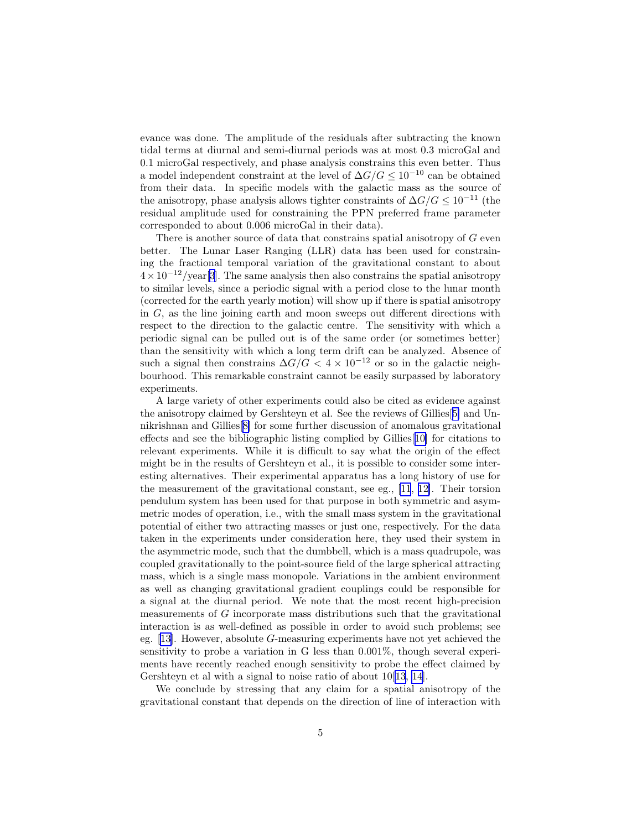evance was done. The amplitude of the residuals after subtracting the known tidal terms at diurnal and semi-diurnal periods was at most 0.3 microGal and 0.1 microGal respectively, and phase analysis constrains this even better. Thus a model independent constraint at the level of  $\Delta G/G \leq 10^{-10}$  can be obtained from their data. In specific models with the galactic mass as the source of the anisotropy, phase analysis allows tighter constraints of  $\Delta G/G \leq 10^{-11}$  (the residual amplitude used for constraining the PPN preferred frame parameter corresponded to about 0.006 microGal in their data).

There is another source of data that constrains spatial anisotropy of G even better. The Lunar Laser Ranging (LLR) data has been used for constraining the fractional temporal variation of the gravitational constant to about  $4 \times 10^{-12}$ /year[\[3\]](#page-5-0). The same analysis then also constrains the spatial anisotropy to similar levels, since a periodic signal with a period close to the lunar month (corrected for the earth yearly motion) will show up if there is spatial anisotropy in G, as the line joining earth and moon sweeps out different directions with respect to the direction to the galactic centre. The sensitivity with which a periodic signal can be pulled out is of the same order (or sometimes better) than the sensitivity with which a long term drift can be analyzed. Absence of such a signal then constrains  $\Delta G/G < 4 \times 10^{-12}$  or so in the galactic neighbourhood. This remarkable constraint cannot be easily surpassed by laboratory experiments.

A large variety of other experiments could also be cited as evidence against the anisotropy claimed by Gershteyn et al. See the reviews of Gillies[[5\]](#page-5-0) and Unnikrishnan and Gillies[[8\]](#page-5-0) for some further discussion of anomalous gravitational effects and see the bibliographic listing complied by Gillies[[10\]](#page-5-0) for citations to relevant experiments. While it is difficult to say what the origin of the effect might be in the results of Gershteyn et al., it is possible to consider some interesting alternatives. Their experimental apparatus has a long history of use for the measurement of the gravitational constant, see eg., [\[11](#page-5-0), [12\]](#page-6-0). Their torsion pendulum system has been used for that purpose in both symmetric and asymmetric modes of operation, i.e., with the small mass system in the gravitational potential of either two attracting masses or just one, respectively. For the data taken in the experiments under consideration here, they used their system in the asymmetric mode, such that the dumbbell, which is a mass quadrupole, was coupled gravitationally to the point-source field of the large spherical attracting mass, which is a single mass monopole. Variations in the ambient environment as well as changing gravitational gradient couplings could be responsible for a signal at the diurnal period. We note that the most recent high-precision measurements of G incorporate mass distributions such that the gravitational interaction is as well-defined as possible in order to avoid such problems; see eg.[[13\]](#page-6-0). However, absolute G-measuring experiments have not yet achieved the sensitivity to probe a variation in G less than 0.001%, though several experiments have recently reached enough sensitivity to probe the effect claimed by Gershteyn et al with a signal to noise ratio of about 10[\[13, 14](#page-6-0)].

We conclude by stressing that any claim for a spatial anisotropy of the gravitational constant that depends on the direction of line of interaction with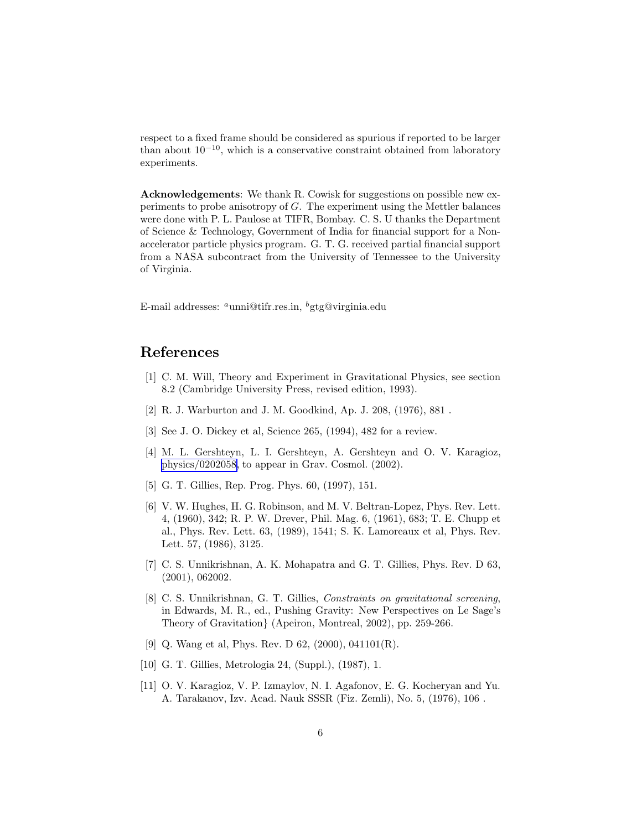<span id="page-5-0"></span>respect to a fixed frame should be considered as spurious if reported to be larger than about 10−<sup>10</sup> , which is a conservative constraint obtained from laboratory experiments.

Acknowledgements: We thank R. Cowisk for suggestions on possible new experiments to probe anisotropy of G. The experiment using the Mettler balances were done with P. L. Paulose at TIFR, Bombay. C. S. U thanks the Department of Science & Technology, Government of India for financial support for a Nonaccelerator particle physics program. G. T. G. received partial financial support from a NASA subcontract from the University of Tennessee to the University of Virginia.

E-mail addresses:  $a$ unni@tifr.res.in,  $b$ gtg@virginia.edu

## References

- [1] C. M. Will, Theory and Experiment in Gravitational Physics, see section 8.2 (Cambridge University Press, revised edition, 1993).
- [2] R. J. Warburton and J. M. Goodkind, Ap. J. 208, (1976), 881 .
- [3] See J. O. Dickey et al, Science 265, (1994), 482 for a review.
- [4] M. L. Gershteyn, L. I. Gershteyn, A. Gershteyn and O. V. Karagioz, [physics/0202058,](http://arxiv.org/abs/physics/0202058) to appear in Grav. Cosmol. (2002).
- [5] G. T. Gillies, Rep. Prog. Phys. 60, (1997), 151.
- [6] V. W. Hughes, H. G. Robinson, and M. V. Beltran-Lopez, Phys. Rev. Lett. 4, (1960), 342; R. P. W. Drever, Phil. Mag. 6, (1961), 683; T. E. Chupp et al., Phys. Rev. Lett. 63, (1989), 1541; S. K. Lamoreaux et al, Phys. Rev. Lett. 57, (1986), 3125.
- [7] C. S. Unnikrishnan, A. K. Mohapatra and G. T. Gillies, Phys. Rev. D 63, (2001), 062002.
- [8] C. S. Unnikrishnan, G. T. Gillies, *Constraints on gravitational screening*, in Edwards, M. R., ed., Pushing Gravity: New Perspectives on Le Sage's Theory of Gravitation} (Apeiron, Montreal, 2002), pp. 259-266.
- [9] Q. Wang et al, Phys. Rev. D 62, (2000), 041101(R).
- [10] G. T. Gillies, Metrologia 24, (Suppl.), (1987), 1.
- [11] O. V. Karagioz, V. P. Izmaylov, N. I. Agafonov, E. G. Kocheryan and Yu. A. Tarakanov, Izv. Acad. Nauk SSSR (Fiz. Zemli), No. 5, (1976), 106 .